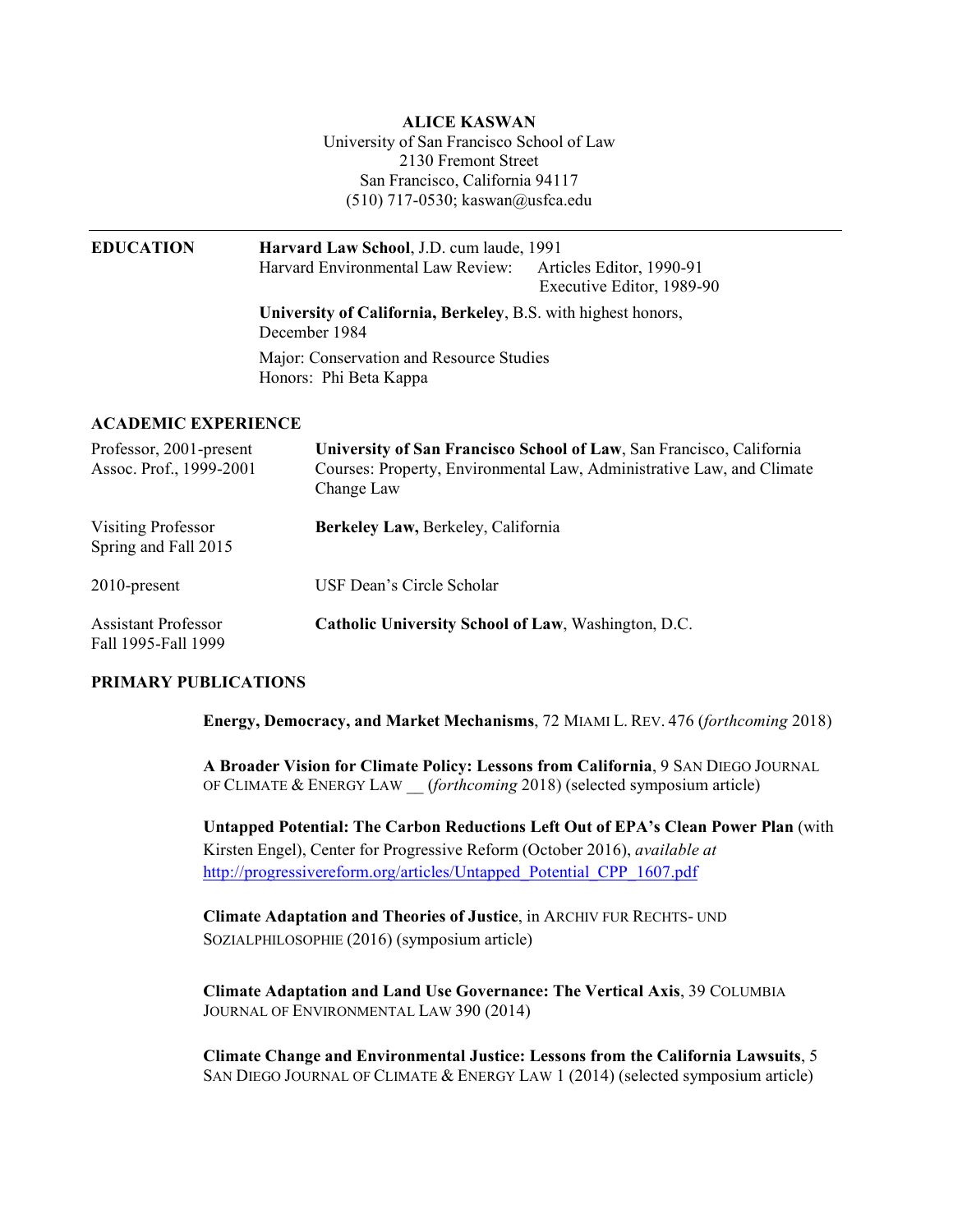**ALICE KASWAN**  University of San Francisco School of Law San Francisco, California 94117 2130 Fremont Street (510) 717-0530; [kaswan@usfca.edu](mailto:kaswan@usfca.edu)

| <b>EDUCATION</b>                                   | Harvard Law School, J.D. cum laude, 1991<br>Harvard Environmental Law Review:<br>Articles Editor, 1990-91<br>Executive Editor, 1989-90                      |
|----------------------------------------------------|-------------------------------------------------------------------------------------------------------------------------------------------------------------|
|                                                    | University of California, Berkeley, B.S. with highest honors,<br>December 1984                                                                              |
|                                                    | Major: Conservation and Resource Studies<br>Honors: Phi Beta Kappa                                                                                          |
| <b>ACADEMIC EXPERIENCE</b>                         |                                                                                                                                                             |
| Professor, 2001-present<br>Assoc. Prof., 1999-2001 | University of San Francisco School of Law, San Francisco, California<br>Courses: Property, Environmental Law, Administrative Law, and Climate<br>Change Law |
| <b>Visiting Professor</b><br>Spring and Fall 2015  | Berkeley Law, Berkeley, California                                                                                                                          |

2010-present

**Assistant Professor**  Fall 1995-Fall 1999 Catholic University School of Law, Washington, D.C.

USF Dean's Circle Scholar

### **PRIMARY PUBLICATIONS**

**Energy, Democracy, and Market Mechanisms**, 72 MIAMI L. REV. 476 (*forthcoming* 2018)

 **A Broader Vision for Climate Policy: Lessons from California**, 9 SAN DIEGO JOURNAL OF CLIMATE & ENERGY LAW \_\_ (*forthcoming* 2018) (selected symposium article)

 **Untapped Potential: The Carbon Reductions Left Out of EPA's Clean Power Plan** (with Kirsten Engel), Center for Progressive Reform (October 2016), *available at*  http://progressivereform.org/articles/Untapped Potential CPP 1607.pdf

 **Climate Adaptation and Theories of Justice**, in ARCHIV FUR RECHTS- UND SOZIALPHILOSOPHIE (2016) (symposium article)

 **Climate Adaptation and Land Use Governance: The Vertical Axis**, 39 COLUMBIA JOURNAL OF ENVIRONMENTAL LAW 390 (2014)

 **Climate Change and Environmental Justice: Lessons from the California Lawsuits**, 5 SAN DIEGO JOURNAL OF CLIMATE & ENERGY LAW 1 (2014) (selected symposium article)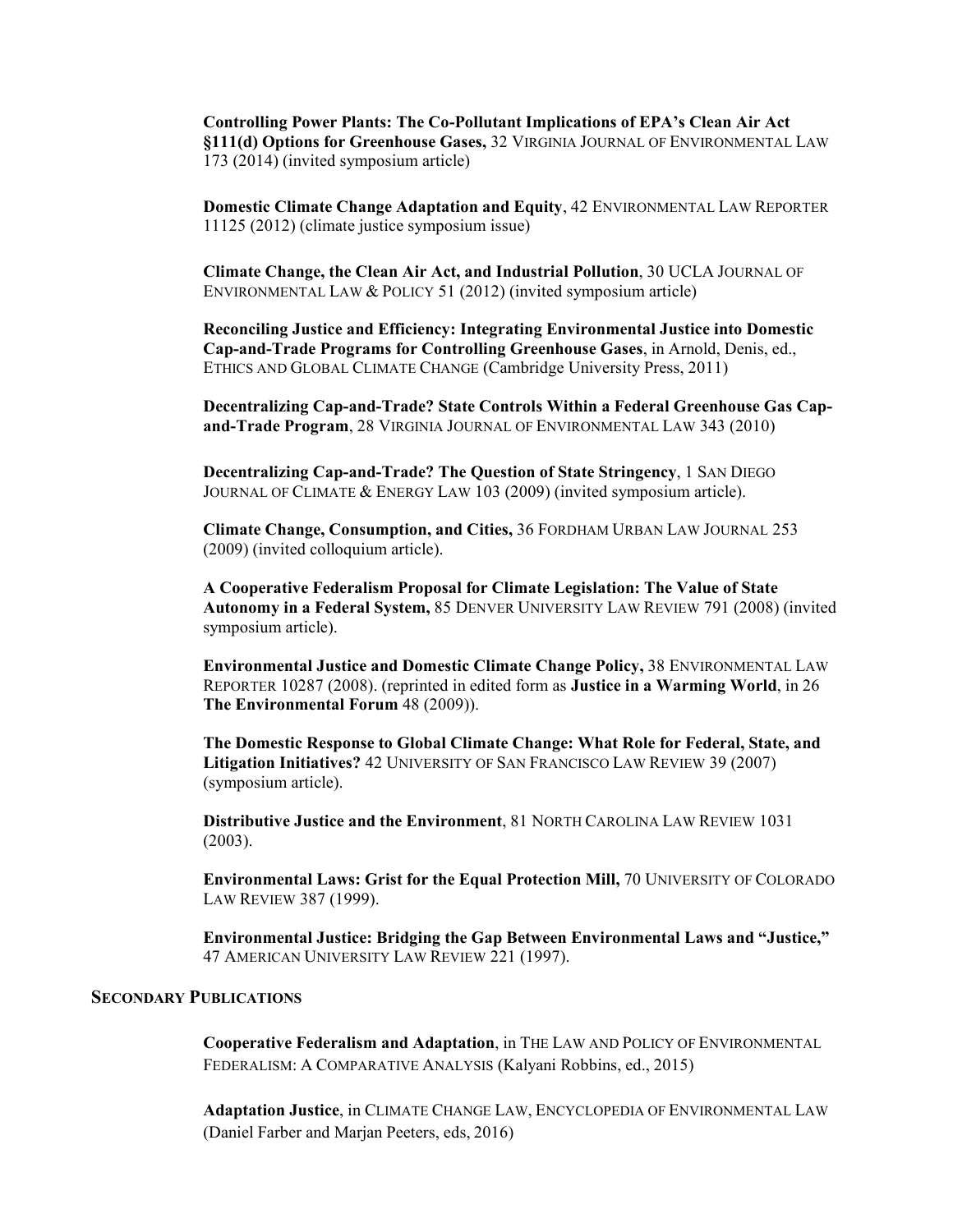**Controlling Power Plants: The Co-Pollutant Implications of EPA's Clean Air Act §111(d) Options for Greenhouse Gases,** 32 VIRGINIA JOURNAL OF ENVIRONMENTAL LAW 173 (2014) (invited symposium article)

 **Domestic Climate Change Adaptation and Equity**, 42 ENVIRONMENTAL LAW REPORTER 11125 (2012) (climate justice symposium issue)

 **Climate Change, the Clean Air Act, and Industrial Pollution**, 30 UCLA JOURNAL OF ENVIRONMENTAL LAW & POLICY 51 (2012) (invited symposium article)

 **Reconciling Justice and Efficiency: Integrating Environmental Justice into Domestic Cap-and-Trade Programs for Controlling Greenhouse Gases**, in Arnold, Denis, ed., ETHICS AND GLOBAL CLIMATE CHANGE (Cambridge University Press, 2011)

 **Decentralizing Cap-and-Trade? State Controls Within a Federal Greenhouse Gas Cap-and-Trade Program**, 28 VIRGINIA JOURNAL OF ENVIRONMENTAL LAW 343 (2010)

 **Decentralizing Cap-and-Trade? The Question of State Stringency**, 1 SAN DIEGO JOURNAL OF CLIMATE & ENERGY LAW 103 (2009) (invited symposium article).

**Climate Change, Consumption, and Cities,** 36 FORDHAM URBAN LAW JOURNAL 253 (2009) (invited colloquium article).

 **A Cooperative Federalism Proposal for Climate Legislation: The Value of State Autonomy in a Federal System,** 85 DENVER UNIVERSITY LAW REVIEW 791 (2008) (invited symposium article).

 **Environmental Justice and Domestic Climate Change Policy,** 38 ENVIRONMENTAL LAW REPORTER 10287 (2008). (reprinted in edited form as **Justice in a Warming World**, in 26 **The Environmental Forum** 48 (2009)).

 **The Domestic Response to Global Climate Change: What Role for Federal, State, and Litigation Initiatives?** 42 UNIVERSITY OF SAN FRANCISCO LAW REVIEW 39 (2007) (symposium article).

 **Distributive Justice and the Environment**, 81 NORTH CAROLINA LAW REVIEW 1031 (2003).

 **Environmental Laws: Grist for the Equal Protection Mill,** 70 UNIVERSITY OF COLORADO LAW REVIEW 387 (1999).

 **Environmental Justice: Bridging the Gap Between Environmental Laws and "Justice,"**  47 AMERICAN UNIVERSITY LAW REVIEW 221 (1997).

## **SECONDARY PUBLICATIONS**

 FEDERALISM: A COMPARATIVE ANALYSIS (Kalyani Robbins, ed., 2015) **Cooperative Federalism and Adaptation**, in THE LAW AND POLICY OF ENVIRONMENTAL

 (Daniel Farber and Marjan Peeters, eds, 2016) **Adaptation Justice**, in CLIMATE CHANGE LAW, ENCYCLOPEDIA OF ENVIRONMENTAL LAW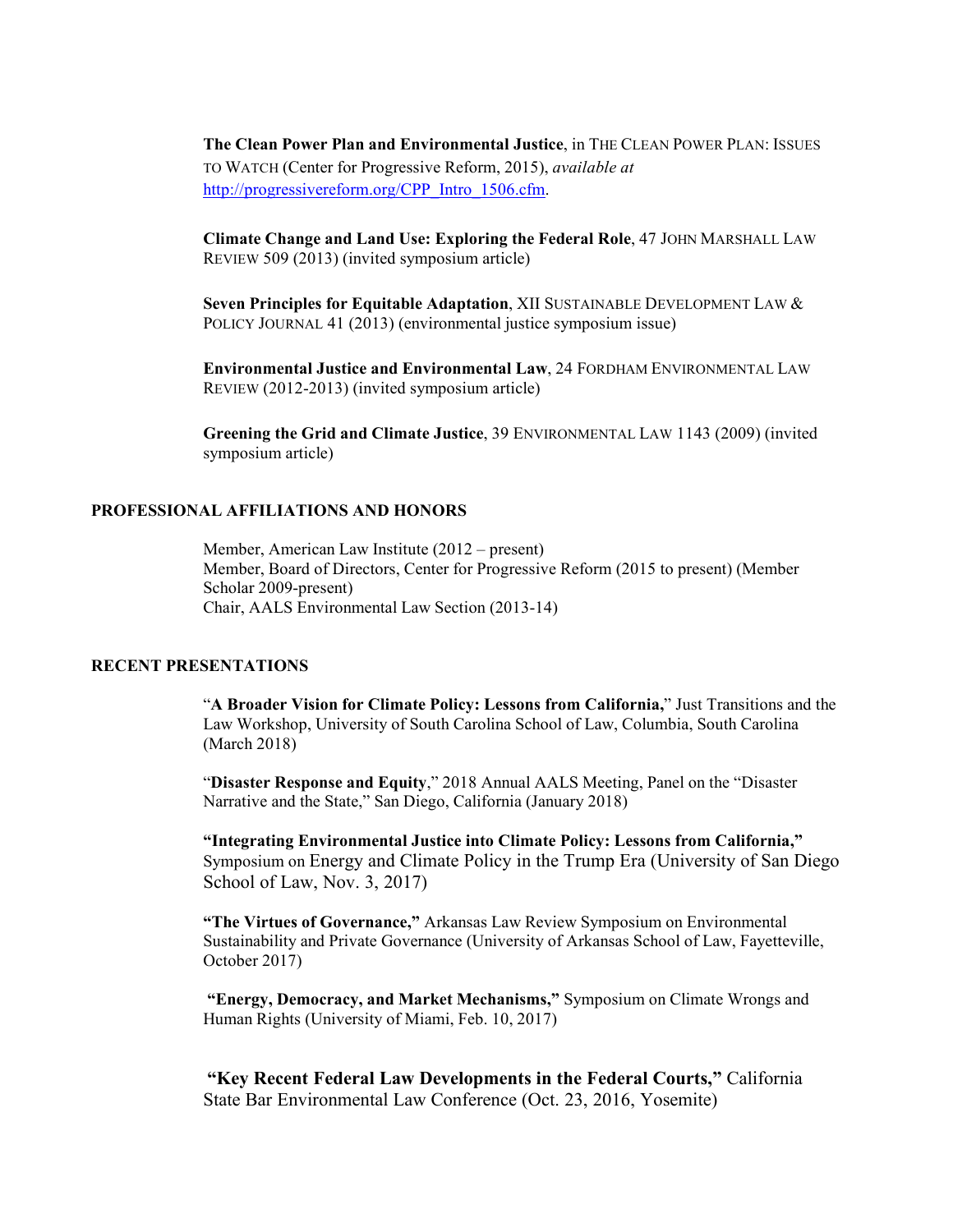TO WATCH (Center for Progressive Reform, 2015), *available at*  **The Clean Power Plan and Environmental Justice**, in THE CLEAN POWER PLAN: ISSUES [http://progressivereform.org/CPP\\_Intro\\_1506.cfm](http://progressivereform.org/CPP_Intro_1506.cfm).

 **Climate Change and Land Use: Exploring the Federal Role**, 47 JOHN MARSHALL LAW REVIEW 509 (2013) (invited symposium article)

 **Seven Principles for Equitable Adaptation**, XII SUSTAINABLE DEVELOPMENT LAW & POLICY JOURNAL 41 (2013) (environmental justice symposium issue)

 **Environmental Justice and Environmental Law**, 24 FORDHAM ENVIRONMENTAL LAW REVIEW (2012-2013) (invited symposium article)

 **Greening the Grid and Climate Justice**, 39 ENVIRONMENTAL LAW 1143 (2009) (invited symposium article)

#### **PROFESSIONAL AFFILIATIONS AND HONORS**

 Member, American Law Institute (2012 – present) Member, Board of Directors, Center for Progressive Reform (2015 to present) (Member Chair, AALS Environmental Law Section (2013-14) Scholar 2009-present)

#### **RECENT PRESENTATIONS**

 "**A Broader Vision for Climate Policy: Lessons from California,**" Just Transitions and the Law Workshop, University of South Carolina School of Law, Columbia, South Carolina (March 2018)

 "**Disaster Response and Equity**," 2018 Annual AALS Meeting, Panel on the "Disaster Narrative and the State," San Diego, California (January 2018)

 **"Integrating Environmental Justice into Climate Policy: Lessons from California,"**  Symposium on Energy and Climate Policy in the Trump Era (University of San Diego School of Law, Nov. 3, 2017)

 **"The Virtues of Governance,"** Arkansas Law Review Symposium on Environmental Sustainability and Private Governance (University of Arkansas School of Law, Fayetteville, October 2017)

 **"Energy, Democracy, and Market Mechanisms,"** Symposium on Climate Wrongs and Human Rights (University of Miami, Feb. 10, 2017)

 **"Key Recent Federal Law Developments in the Federal Courts,"** California State Bar Environmental Law Conference (Oct. 23, 2016, Yosemite)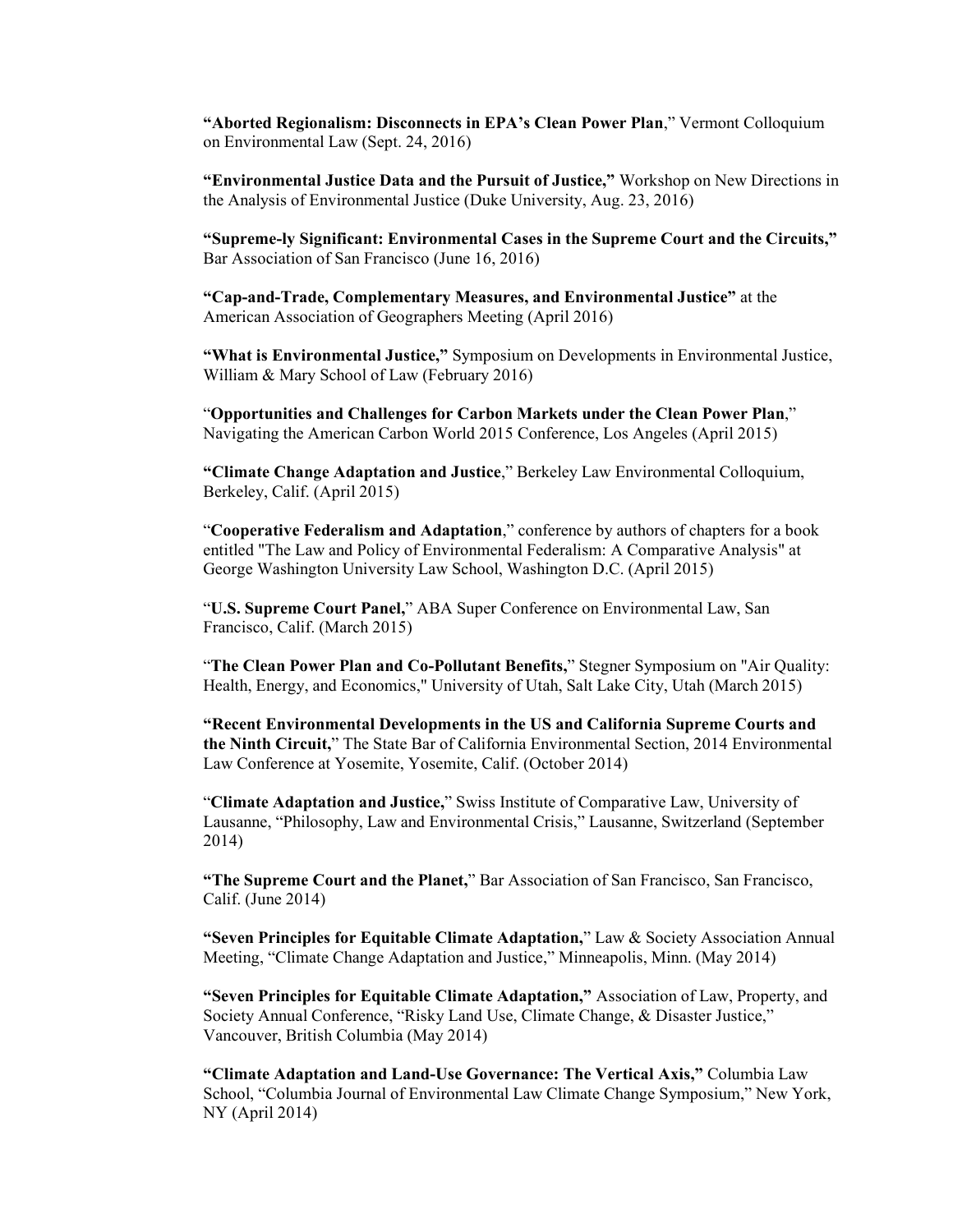**"Aborted Regionalism: Disconnects in EPA's Clean Power Plan**," Vermont Colloquium on Environmental Law (Sept. 24, 2016)

 **"Environmental Justice Data and the Pursuit of Justice,"** Workshop on New Directions in the Analysis of Environmental Justice (Duke University, Aug. 23, 2016)

 **"Supreme-ly Significant: Environmental Cases in the Supreme Court and the Circuits,"**  Bar Association of San Francisco (June 16, 2016)

 **"Cap-and-Trade, Complementary Measures, and Environmental Justice"** at the American Association of Geographers Meeting (April 2016)

"What is Environmental Justice," Symposium on Developments in Environmental Justice, William & Mary School of Law (February 2016)

 "**Opportunities and Challenges for Carbon Markets under the Clean Power Plan**," Navigating the American Carbon World 2015 Conference, Los Angeles (April 2015)

 **"Climate Change Adaptation and Justice**," Berkeley Law Environmental Colloquium, Berkeley, Calif. (April 2015)

 entitled "The Law and Policy of Environmental Federalism: A Comparative Analysis" at "**Cooperative Federalism and Adaptation**," conference by authors of chapters for a book George Washington University Law School, Washington D.C. (April 2015)

 "**U.S. Supreme Court Panel,**" ABA Super Conference on Environmental Law, San Francisco, Calif. (March 2015)

 "**The Clean Power Plan and Co-Pollutant Benefits,**" Stegner Symposium on "Air Quality: Health, Energy, and Economics," University of Utah, Salt Lake City, Utah (March 2015)

 **"Recent Environmental Developments in the US and California Supreme Courts and the Ninth Circuit,**" The State Bar of California Environmental Section, 2014 Environmental Law Conference at Yosemite, Yosemite, Calif. (October 2014)

 "**Climate Adaptation and Justice,**" Swiss Institute of Comparative Law, University of Lausanne, "Philosophy, Law and Environmental Crisis," Lausanne, Switzerland (September 2014)

 **"The Supreme Court and the Planet,**" Bar Association of San Francisco, San Francisco, Calif. (June 2014)

 **"Seven Principles for Equitable Climate Adaptation,**" Law & Society Association Annual Meeting, "Climate Change Adaptation and Justice," Minneapolis, Minn. (May 2014)

 **"Seven Principles for Equitable Climate Adaptation,"** Association of Law, Property, and Society Annual Conference, "Risky Land Use, Climate Change, & Disaster Justice," Vancouver, British Columbia (May 2014)

 **"Climate Adaptation and Land-Use Governance: The Vertical Axis,"** Columbia Law School, "Columbia Journal of Environmental Law Climate Change Symposium," New York, NY (April 2014)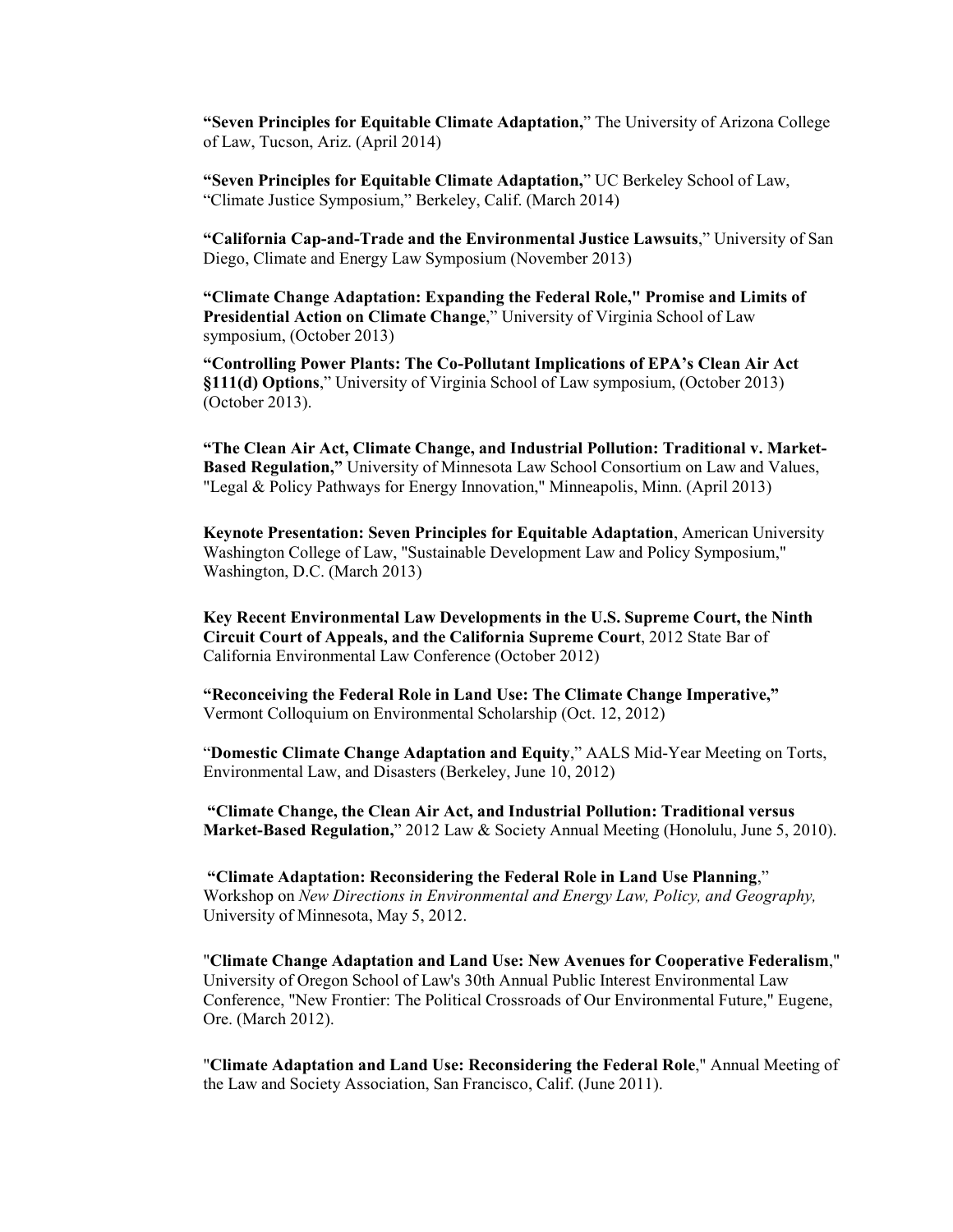of Law, Tucson, Ariz. (April 2014) **"Seven Principles for Equitable Climate Adaptation,**" The University of Arizona College

 **"Seven Principles for Equitable Climate Adaptation,**" UC Berkeley School of Law, "Climate Justice Symposium," Berkeley, Calif. (March 2014)

 **"California Cap-and-Trade and the Environmental Justice Lawsuits**," University of San Diego, Climate and Energy Law Symposium (November 2013)

 **"Climate Change Adaptation: Expanding the Federal Role," Promise and Limits of Presidential Action on Climate Change**," University of Virginia School of Law symposium, (October 2013)

 **"Controlling Power Plants: The Co-Pollutant Implications of EPA's Clean Air Act §111(d) Options**," University of Virginia School of Law symposium, (October 2013) (October 2013).

 **"The Clean Air Act, Climate Change, and Industrial Pollution: Traditional v. Market- Based Regulation,"** University of Minnesota Law School Consortium on Law and Values, "Legal & Policy Pathways for Energy Innovation," Minneapolis, Minn. (April 2013)

 Washington College of Law, "Sustainable Development Law and Policy Symposium," Washington, D.C. (March 2013) **Keynote Presentation: Seven Principles for Equitable Adaptation**, American University

 **Key Recent Environmental Law Developments in the U.S. Supreme Court, the Ninth Circuit Court of Appeals, and the California Supreme Court**, 2012 State Bar of California Environmental Law Conference (October 2012)

 **"Reconceiving the Federal Role in Land Use: The Climate Change Imperative,"**  Vermont Colloquium on Environmental Scholarship (Oct. 12, 2012)

 "**Domestic Climate Change Adaptation and Equity**," AALS Mid-Year Meeting on Torts, Environmental Law, and Disasters (Berkeley, June 10, 2012)

 **"Climate Change, the Clean Air Act, and Industrial Pollution: Traditional versus Market-Based Regulation,**" 2012 Law & Society Annual Meeting (Honolulu, June 5, 2010).

 **"Climate Adaptation: Reconsidering the Federal Role in Land Use Planning**,"  Workshop on *New Directions in Environmental and Energy Law, Policy, and Geography,*  University of Minnesota, May 5, 2012.

 "**Climate Change Adaptation and Land Use: New Avenues for Cooperative Federalism**," University of Oregon School of Law's 30th Annual Public Interest Environmental Law Conference, "New Frontier: The Political Crossroads of Our Environmental Future," Eugene, Ore. (March 2012).

 "**Climate Adaptation and Land Use: Reconsidering the Federal Role**," Annual Meeting of the Law and Society Association, San Francisco, Calif. (June 2011).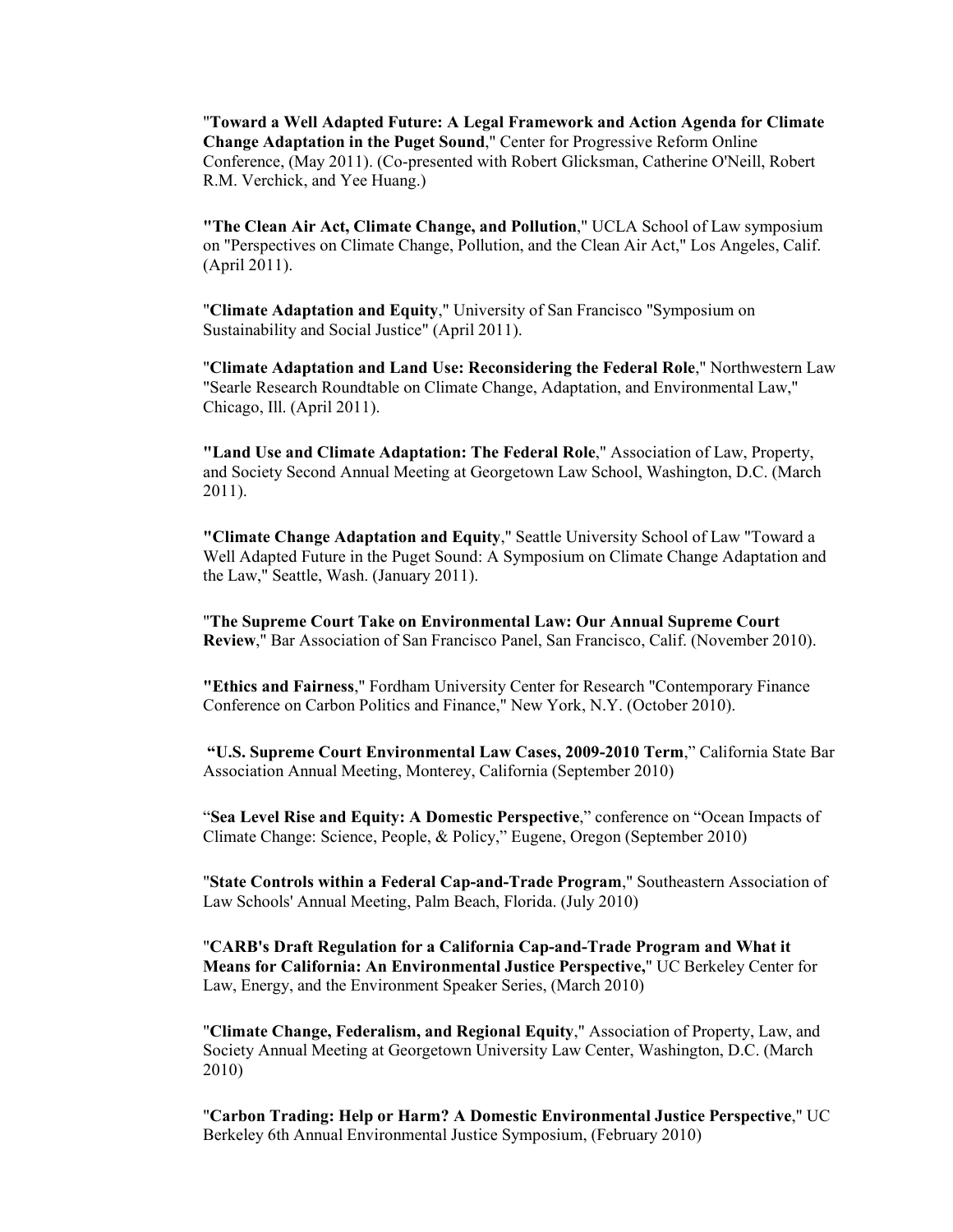"**Toward a Well Adapted Future: A Legal Framework and Action Agenda for Climate Change Adaptation in the Puget Sound**," Center for Progressive Reform Online Conference, (May 2011). (Co-presented with Robert Glicksman, Catherine O'Neill, Robert R.M. Verchick, and Yee Huang.)

 **"The Clean Air Act, Climate Change, and Pollution**," UCLA School of Law symposium on "Perspectives on Climate Change, Pollution, and the Clean Air Act," Los Angeles, Calif. (April 2011).

 "**Climate Adaptation and Equity**," University of San Francisco "Symposium on Sustainability and Social Justice" (April 2011).

 "**Climate Adaptation and Land Use: Reconsidering the Federal Role**," Northwestern Law "Searle Research Roundtable on Climate Change, Adaptation, and Environmental Law," Chicago, Ill. (April 2011).

 **"Land Use and Climate Adaptation: The Federal Role**," Association of Law, Property, and Society Second Annual Meeting at Georgetown Law School, Washington, D.C. (March 2011).

 **"Climate Change Adaptation and Equity**," Seattle University School of Law "Toward a Well Adapted Future in the Puget Sound: A Symposium on Climate Change Adaptation and the Law," Seattle, Wash. (January 2011).

 "**The Supreme Court Take on Environmental Law: Our Annual Supreme Court Review**," Bar Association of San Francisco Panel, San Francisco, Calif. (November 2010).

 **"Ethics and Fairness**," Fordham University Center for Research "Contemporary Finance Conference on Carbon Politics and Finance," New York, N.Y. (October 2010).

 **"U.S. Supreme Court Environmental Law Cases, 2009-2010 Term**," California State Bar Association Annual Meeting, Monterey, California (September 2010)

 "**Sea Level Rise and Equity: A Domestic Perspective**," conference on "Ocean Impacts of Climate Change: Science, People, & Policy," Eugene, Oregon (September 2010)

 "**State Controls within a Federal Cap-and-Trade Program**," Southeastern Association of Law Schools' Annual Meeting, Palm Beach, Florida. (July 2010)

 "**CARB's Draft Regulation for a California Cap-and-Trade Program and What it Means for California: An Environmental Justice Perspective,**" UC Berkeley Center for Law, Energy, and the Environment Speaker Series, (March 2010)

 "**Climate Change, Federalism, and Regional Equity**," Association of Property, Law, and Society Annual Meeting at Georgetown University Law Center, Washington, D.C. (March 2010)

 "**Carbon Trading: Help or Harm? A Domestic Environmental Justice Perspective**," UC Berkeley 6th Annual Environmental Justice Symposium, (February 2010)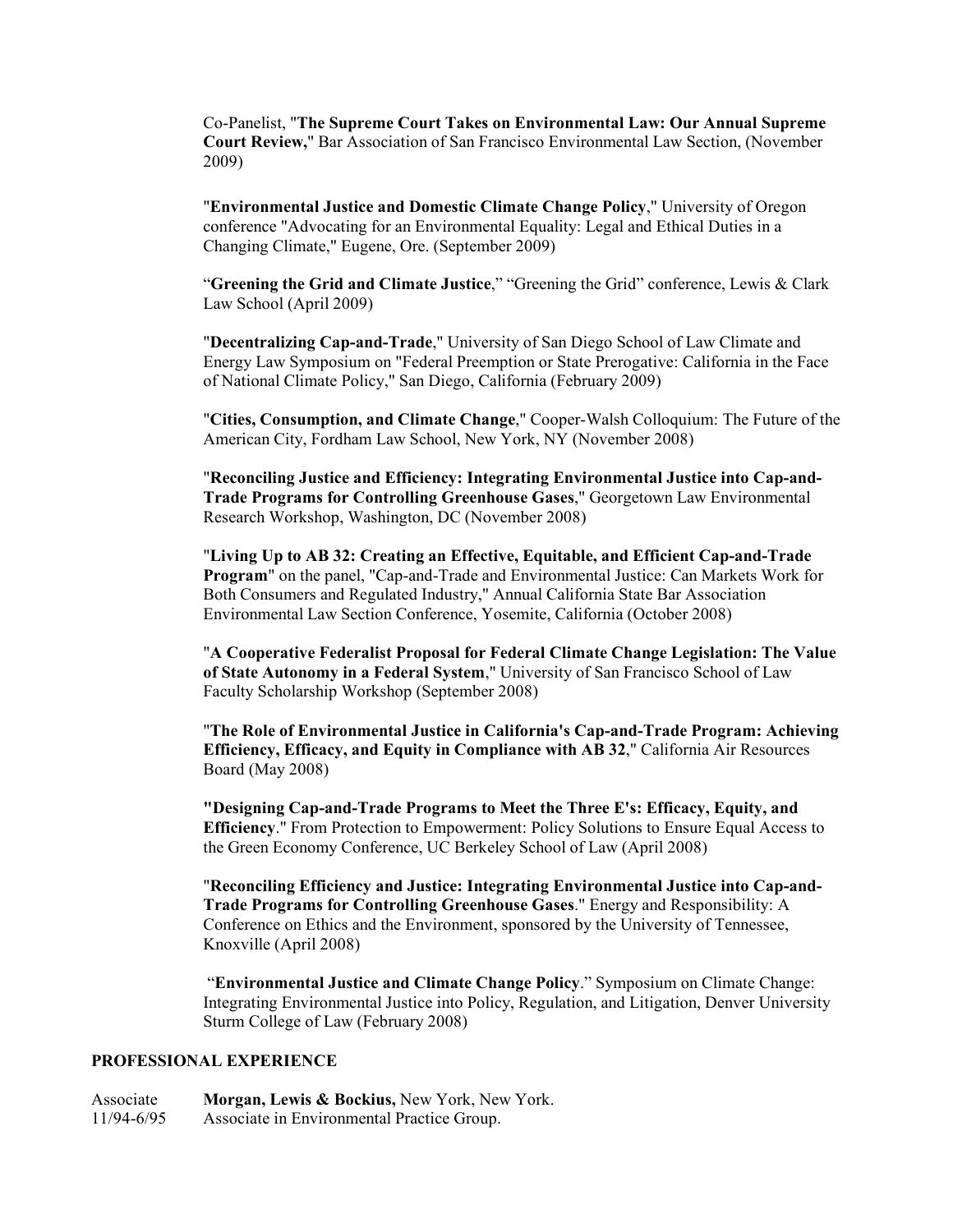Co-Panelist, "**The Supreme Court Takes on Environmental Law: Our Annual Supreme Court Review,**" Bar Association of San Francisco Environmental Law Section, (November 2009)

 "**Environmental Justice and Domestic Climate Change Policy**," University of Oregon conference "Advocating for an Environmental Equality: Legal and Ethical Duties in a Changing Climate," Eugene, Ore. (September 2009)

 "**Greening the Grid and Climate Justice**," "Greening the Grid" conference, Lewis & Clark Law School (April 2009)

 Energy Law Symposium on "Federal Preemption or State Prerogative: California in the Face of National Climate Policy," San Diego, California (February 2009) "**Decentralizing Cap-and-Trade**," University of San Diego School of Law Climate and

 "**Cities, Consumption, and Climate Change**," Cooper-Walsh Colloquium: The Future of the American City, Fordham Law School, New York, NY (November 2008)

 "**Reconciling Justice and Efficiency: Integrating Environmental Justice into Cap-and- Trade Programs for Controlling Greenhouse Gases**," Georgetown Law Environmental Research Workshop, Washington, DC (November 2008)

 "**Living Up to AB 32: Creating an Effective, Equitable, and Efficient Cap-and-Trade Program**" on the panel, "Cap-and-Trade and Environmental Justice: Can Markets Work for Both Consumers and Regulated Industry," Annual California State Bar Association Environmental Law Section Conference, Yosemite, California (October 2008)

 "**A Cooperative Federalist Proposal for Federal Climate Change Legislation: The Value of State Autonomy in a Federal System**," University of San Francisco School of Law Faculty Scholarship Workshop (September 2008)

 "**The Role of Environmental Justice in California's Cap-and-Trade Program: Achieving Efficiency, Efficacy, and Equity in Compliance with AB 32**," California Air Resources Board (May 2008)

 **"Designing Cap-and-Trade Programs to Meet the Three E's: Efficacy, Equity, and**  the Green Economy Conference, UC Berkeley School of Law (April 2008) **Efficiency**." From Protection to Empowerment: Policy Solutions to Ensure Equal Access to

 "**Reconciling Efficiency and Justice: Integrating Environmental Justice into Cap-and- Trade Programs for Controlling Greenhouse Gases**." Energy and Responsibility: A Conference on Ethics and the Environment, sponsored by the University of Tennessee, Knoxville (April 2008)

 "**Environmental Justice and Climate Change Policy**." Symposium on Climate Change: Integrating Environmental Justice into Policy, Regulation, and Litigation, Denver University Sturm College of Law (February 2008)

#### **PROFESSIONAL EXPERIENCE**

 Associate **Morgan, Lewis & Bockius,** New York, New York. 11/94-6/95 Associate in Environmental Practice Group.